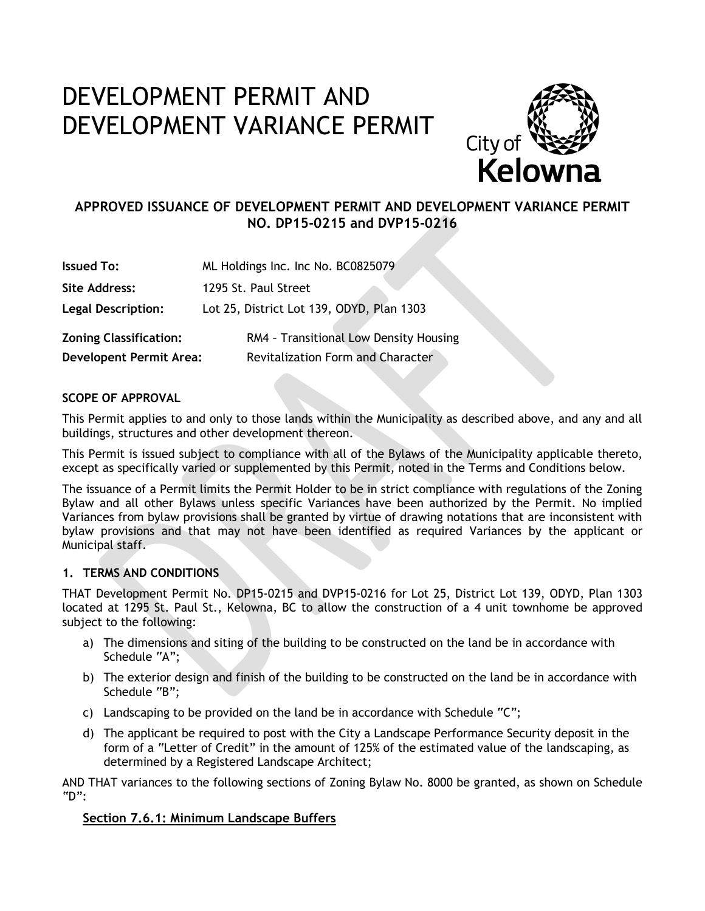# DEVELOPMENT PERMIT AND DEVELOPMENT VARIANCE PERMIT



# **APPROVED ISSUANCE OF DEVELOPMENT PERMIT AND DEVELOPMENT VARIANCE PERMIT NO. DP15-0215 and DVP15-0216**

| <b>Issued To:</b>              | ML Holdings Inc. Inc No. BC0825079        |  |
|--------------------------------|-------------------------------------------|--|
| <b>Site Address:</b>           | 1295 St. Paul Street                      |  |
| <b>Legal Description:</b>      | Lot 25, District Lot 139, ODYD, Plan 1303 |  |
| <b>Zoning Classification:</b>  | RM4 - Transitional Low Density Housing    |  |
| <b>Developent Permit Area:</b> | <b>Revitalization Form and Character</b>  |  |

### **SCOPE OF APPROVAL**

This Permit applies to and only to those lands within the Municipality as described above, and any and all buildings, structures and other development thereon.

This Permit is issued subject to compliance with all of the Bylaws of the Municipality applicable thereto, except as specifically varied or supplemented by this Permit, noted in the Terms and Conditions below.

The issuance of a Permit limits the Permit Holder to be in strict compliance with regulations of the Zoning Bylaw and all other Bylaws unless specific Variances have been authorized by the Permit. No implied Variances from bylaw provisions shall be granted by virtue of drawing notations that are inconsistent with bylaw provisions and that may not have been identified as required Variances by the applicant or Municipal staff.

#### **1. TERMS AND CONDITIONS**

THAT Development Permit No. DP15-0215 and DVP15-0216 for Lot 25, District Lot 139, ODYD, Plan 1303 located at 1295 St. Paul St., Kelowna, BC to allow the construction of a 4 unit townhome be approved subject to the following:

- a) The dimensions and siting of the building to be constructed on the land be in accordance with Schedule "A";
- b) The exterior design and finish of the building to be constructed on the land be in accordance with Schedule "B";
- c) Landscaping to be provided on the land be in accordance with Schedule "C";
- d) The applicant be required to post with the City a Landscape Performance Security deposit in the form of a "Letter of Credit" in the amount of 125% of the estimated value of the landscaping, as determined by a Registered Landscape Architect;

AND THAT variances to the following sections of Zoning Bylaw No. 8000 be granted, as shown on Schedule "D":

# **Section 7.6.1: Minimum Landscape Buffers**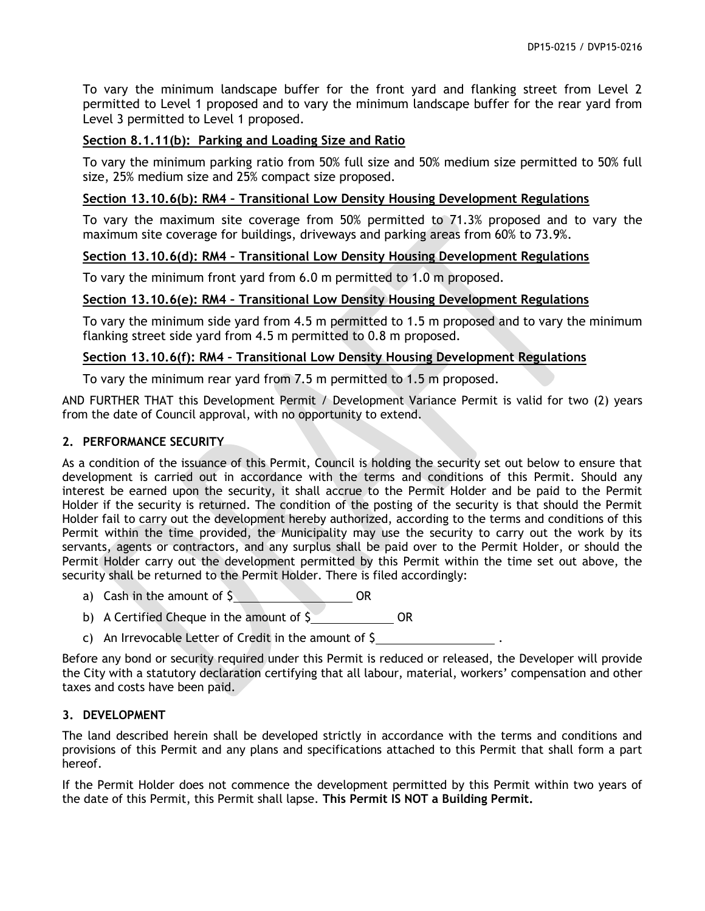To vary the minimum landscape buffer for the front yard and flanking street from Level 2 permitted to Level 1 proposed and to vary the minimum landscape buffer for the rear yard from Level 3 permitted to Level 1 proposed.

# **Section 8.1.11(b): Parking and Loading Size and Ratio**

To vary the minimum parking ratio from 50% full size and 50% medium size permitted to 50% full size, 25% medium size and 25% compact size proposed.

## **Section 13.10.6(b): RM4 – Transitional Low Density Housing Development Regulations**

To vary the maximum site coverage from 50% permitted to 71.3% proposed and to vary the maximum site coverage for buildings, driveways and parking areas from 60% to 73.9%.

### **Section 13.10.6(d): RM4 – Transitional Low Density Housing Development Regulations**

To vary the minimum front yard from 6.0 m permitted to 1.0 m proposed.

# **Section 13.10.6(e): RM4 – Transitional Low Density Housing Development Regulations**

To vary the minimum side yard from 4.5 m permitted to 1.5 m proposed and to vary the minimum flanking street side yard from 4.5 m permitted to 0.8 m proposed.

### **Section 13.10.6(f): RM4 – Transitional Low Density Housing Development Regulations**

To vary the minimum rear yard from 7.5 m permitted to 1.5 m proposed.

AND FURTHER THAT this Development Permit / Development Variance Permit is valid for two (2) years from the date of Council approval, with no opportunity to extend.

#### **2. PERFORMANCE SECURITY**

As a condition of the issuance of this Permit, Council is holding the security set out below to ensure that development is carried out in accordance with the terms and conditions of this Permit. Should any interest be earned upon the security, it shall accrue to the Permit Holder and be paid to the Permit Holder if the security is returned. The condition of the posting of the security is that should the Permit Holder fail to carry out the development hereby authorized, according to the terms and conditions of this Permit within the time provided, the Municipality may use the security to carry out the work by its servants, agents or contractors, and any surplus shall be paid over to the Permit Holder, or should the Permit Holder carry out the development permitted by this Permit within the time set out above, the security shall be returned to the Permit Holder. There is filed accordingly:

- a) Cash in the amount of  $\zeta$  OR
- b) A Certified Cheque in the amount of  $\frac{1}{2}$  OR
- c) An Irrevocable Letter of Credit in the amount of \$ .

Before any bond or security required under this Permit is reduced or released, the Developer will provide the City with a statutory declaration certifying that all labour, material, workers' compensation and other taxes and costs have been paid.

#### **3. DEVELOPMENT**

The land described herein shall be developed strictly in accordance with the terms and conditions and provisions of this Permit and any plans and specifications attached to this Permit that shall form a part hereof.

If the Permit Holder does not commence the development permitted by this Permit within two years of the date of this Permit, this Permit shall lapse. **This Permit IS NOT a Building Permit.**